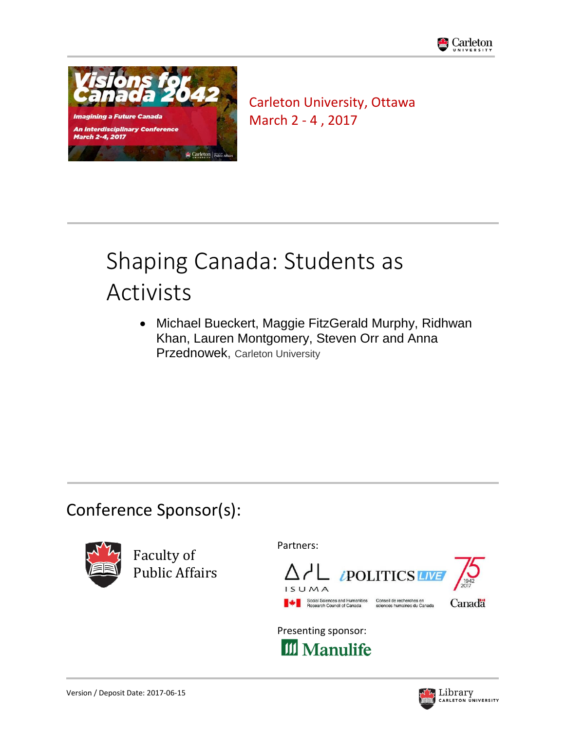



Carleton University, Ottawa March 2 - 4 , 2017

# Shaping Canada: Students as Activists

 Michael Bueckert, Maggie FitzGerald Murphy, Ridhwan Khan, Lauren Montgomery, Steven Orr and Anna Przednowek, Carleton University

# Conference Sponsor(s):



Faculty of Public Affairs Partners:



Presenting sponsor: **III** Manulife

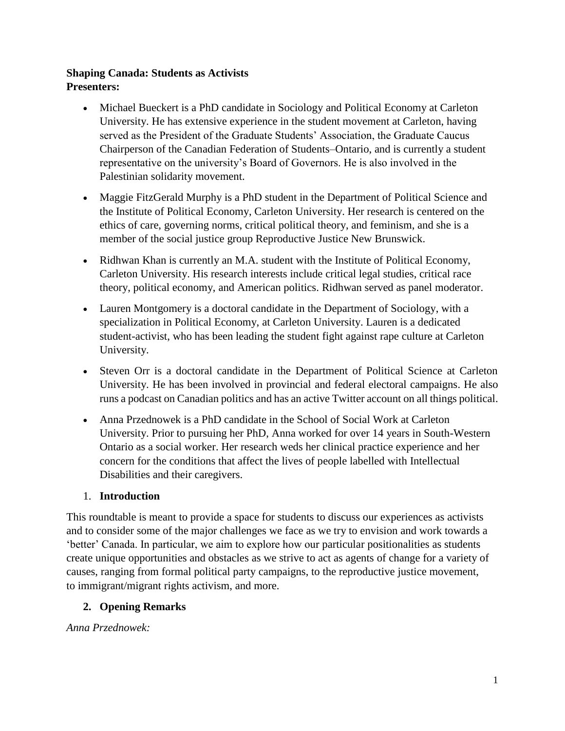#### **Shaping Canada: Students as Activists Presenters:**

- Michael Bueckert is a PhD candidate in Sociology and Political Economy at Carleton University. He has extensive experience in the student movement at Carleton, having served as the President of the Graduate Students' Association, the Graduate Caucus Chairperson of the Canadian Federation of Students–Ontario, and is currently a student representative on the university's Board of Governors. He is also involved in the Palestinian solidarity movement.
- Maggie FitzGerald Murphy is a PhD student in the Department of Political Science and the Institute of Political Economy, Carleton University. Her research is centered on the ethics of care, governing norms, critical political theory, and feminism, and she is a member of the social justice group Reproductive Justice New Brunswick.
- Ridhwan Khan is currently an M.A. student with the Institute of Political Economy, Carleton University. His research interests include critical legal studies, critical race theory, political economy, and American politics. Ridhwan served as panel moderator.
- Lauren Montgomery is a doctoral candidate in the Department of Sociology, with a specialization in Political Economy, at Carleton University. Lauren is a dedicated student-activist, who has been leading the student fight against rape culture at Carleton University.
- Steven Orr is a doctoral candidate in the Department of Political Science at Carleton University. He has been involved in provincial and federal electoral campaigns. He also runs a podcast on Canadian politics and has an active Twitter account on all things political.
- Anna Przednowek is a PhD candidate in the School of Social Work at Carleton University. Prior to pursuing her PhD, Anna worked for over 14 years in South-Western Ontario as a social worker. Her research weds her clinical practice experience and her concern for the conditions that affect the lives of people labelled with Intellectual Disabilities and their caregivers.

# 1. **Introduction**

This roundtable is meant to provide a space for students to discuss our experiences as activists and to consider some of the major challenges we face as we try to envision and work towards a 'better' Canada. In particular, we aim to explore how our particular positionalities as students create unique opportunities and obstacles as we strive to act as agents of change for a variety of causes, ranging from formal political party campaigns, to the reproductive justice movement, to immigrant/migrant rights activism, and more.

# **2. Opening Remarks**

*Anna Przednowek:*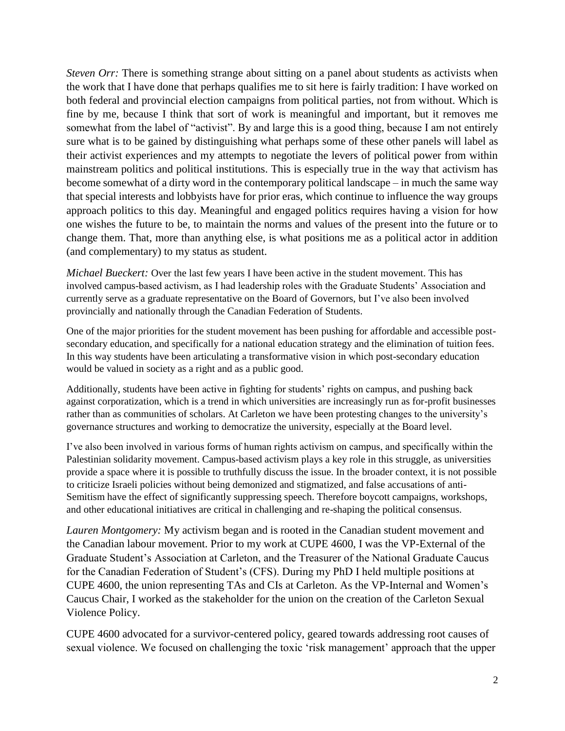*Steven Orr:* There is something strange about sitting on a panel about students as activists when the work that I have done that perhaps qualifies me to sit here is fairly tradition: I have worked on both federal and provincial election campaigns from political parties, not from without. Which is fine by me, because I think that sort of work is meaningful and important, but it removes me somewhat from the label of "activist". By and large this is a good thing, because I am not entirely sure what is to be gained by distinguishing what perhaps some of these other panels will label as their activist experiences and my attempts to negotiate the levers of political power from within mainstream politics and political institutions. This is especially true in the way that activism has become somewhat of a dirty word in the contemporary political landscape – in much the same way that special interests and lobbyists have for prior eras, which continue to influence the way groups approach politics to this day. Meaningful and engaged politics requires having a vision for how one wishes the future to be, to maintain the norms and values of the present into the future or to change them. That, more than anything else, is what positions me as a political actor in addition (and complementary) to my status as student.

*Michael Bueckert:* Over the last few years I have been active in the student movement. This has involved campus-based activism, as I had leadership roles with the Graduate Students' Association and currently serve as a graduate representative on the Board of Governors, but I've also been involved provincially and nationally through the Canadian Federation of Students.

One of the major priorities for the student movement has been pushing for affordable and accessible postsecondary education, and specifically for a national education strategy and the elimination of tuition fees. In this way students have been articulating a transformative vision in which post-secondary education would be valued in society as a right and as a public good.

Additionally, students have been active in fighting for students' rights on campus, and pushing back against corporatization, which is a trend in which universities are increasingly run as for-profit businesses rather than as communities of scholars. At Carleton we have been protesting changes to the university's governance structures and working to democratize the university, especially at the Board level.

I've also been involved in various forms of human rights activism on campus, and specifically within the Palestinian solidarity movement. Campus-based activism plays a key role in this struggle, as universities provide a space where it is possible to truthfully discuss the issue. In the broader context, it is not possible to criticize Israeli policies without being demonized and stigmatized, and false accusations of anti-Semitism have the effect of significantly suppressing speech. Therefore boycott campaigns, workshops, and other educational initiatives are critical in challenging and re-shaping the political consensus.

*Lauren Montgomery:* My activism began and is rooted in the Canadian student movement and the Canadian labour movement. Prior to my work at CUPE 4600, I was the VP-External of the Graduate Student's Association at Carleton, and the Treasurer of the National Graduate Caucus for the Canadian Federation of Student's (CFS). During my PhD I held multiple positions at CUPE 4600, the union representing TAs and CIs at Carleton. As the VP-Internal and Women's Caucus Chair, I worked as the stakeholder for the union on the creation of the Carleton Sexual Violence Policy.

CUPE 4600 advocated for a survivor-centered policy, geared towards addressing root causes of sexual violence. We focused on challenging the toxic 'risk management' approach that the upper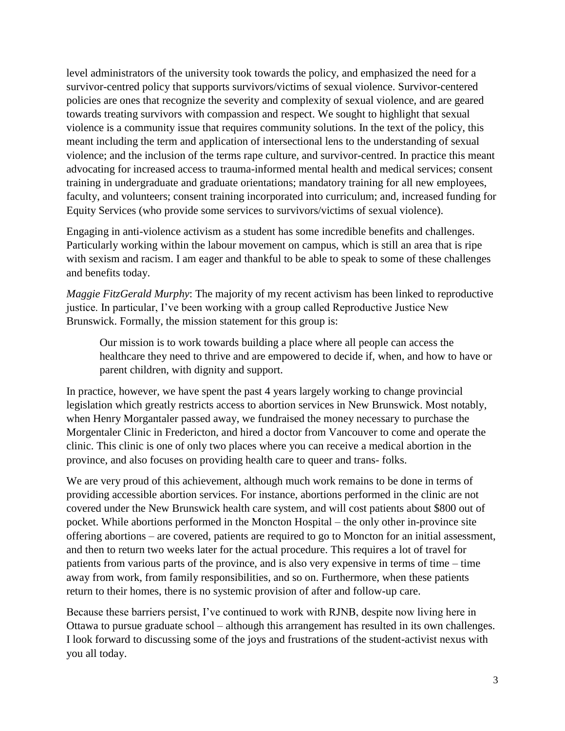level administrators of the university took towards the policy, and emphasized the need for a survivor-centred policy that supports survivors/victims of sexual violence. Survivor-centered policies are ones that recognize the severity and complexity of sexual violence, and are geared towards treating survivors with compassion and respect. We sought to highlight that sexual violence is a community issue that requires community solutions. In the text of the policy, this meant including the term and application of intersectional lens to the understanding of sexual violence; and the inclusion of the terms rape culture, and survivor-centred. In practice this meant advocating for increased access to trauma-informed mental health and medical services; consent training in undergraduate and graduate orientations; mandatory training for all new employees, faculty, and volunteers; consent training incorporated into curriculum; and, increased funding for Equity Services (who provide some services to survivors/victims of sexual violence).

Engaging in anti-violence activism as a student has some incredible benefits and challenges. Particularly working within the labour movement on campus, which is still an area that is ripe with sexism and racism. I am eager and thankful to be able to speak to some of these challenges and benefits today.

*Maggie FitzGerald Murphy*: The majority of my recent activism has been linked to reproductive justice. In particular, I've been working with a group called Reproductive Justice New Brunswick. Formally, the mission statement for this group is:

Our mission is to work towards building a place where all people can access the healthcare they need to thrive and are empowered to decide if, when, and how to have or parent children, with dignity and support.

In practice, however, we have spent the past 4 years largely working to change provincial legislation which greatly restricts access to abortion services in New Brunswick. Most notably, when Henry Morgantaler passed away, we fundraised the money necessary to purchase the Morgentaler Clinic in Fredericton, and hired a doctor from Vancouver to come and operate the clinic. This clinic is one of only two places where you can receive a medical abortion in the province, and also focuses on providing health care to queer and trans- folks.

We are very proud of this achievement, although much work remains to be done in terms of providing accessible abortion services. For instance, abortions performed in the clinic are not covered under the New Brunswick health care system, and will cost patients about \$800 out of pocket. While abortions performed in the Moncton Hospital – the only other in-province site offering abortions – are covered, patients are required to go to Moncton for an initial assessment, and then to return two weeks later for the actual procedure. This requires a lot of travel for patients from various parts of the province, and is also very expensive in terms of time – time away from work, from family responsibilities, and so on. Furthermore, when these patients return to their homes, there is no systemic provision of after and follow-up care.

Because these barriers persist, I've continued to work with RJNB, despite now living here in Ottawa to pursue graduate school – although this arrangement has resulted in its own challenges. I look forward to discussing some of the joys and frustrations of the student-activist nexus with you all today.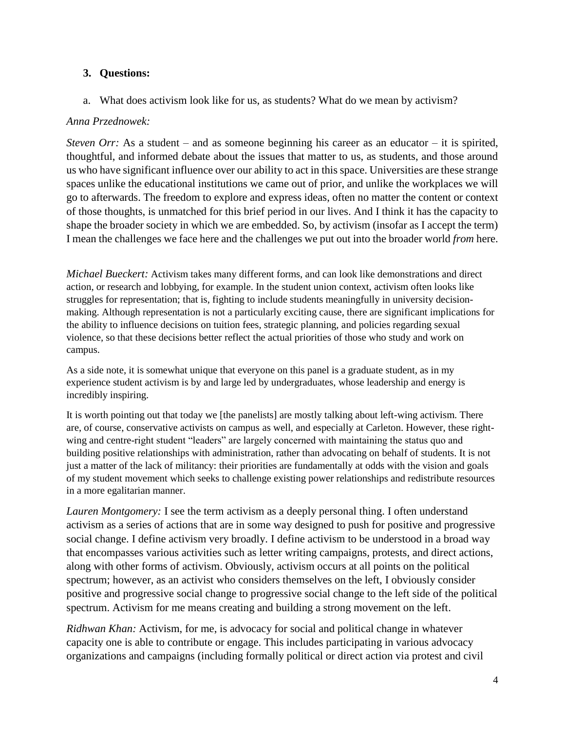## **3. Questions:**

a. What does activism look like for us, as students? What do we mean by activism?

#### *Anna Przednowek:*

*Steven Orr:* As a student – and as someone beginning his career as an educator – it is spirited, thoughtful, and informed debate about the issues that matter to us, as students, and those around us who have significant influence over our ability to act in this space. Universities are these strange spaces unlike the educational institutions we came out of prior, and unlike the workplaces we will go to afterwards. The freedom to explore and express ideas, often no matter the content or context of those thoughts, is unmatched for this brief period in our lives. And I think it has the capacity to shape the broader society in which we are embedded. So, by activism (insofar as I accept the term) I mean the challenges we face here and the challenges we put out into the broader world *from* here.

*Michael Bueckert:* Activism takes many different forms, and can look like demonstrations and direct action, or research and lobbying, for example. In the student union context, activism often looks like struggles for representation; that is, fighting to include students meaningfully in university decisionmaking. Although representation is not a particularly exciting cause, there are significant implications for the ability to influence decisions on tuition fees, strategic planning, and policies regarding sexual violence, so that these decisions better reflect the actual priorities of those who study and work on campus.

As a side note, it is somewhat unique that everyone on this panel is a graduate student, as in my experience student activism is by and large led by undergraduates, whose leadership and energy is incredibly inspiring.

It is worth pointing out that today we [the panelists] are mostly talking about left-wing activism. There are, of course, conservative activists on campus as well, and especially at Carleton. However, these rightwing and centre-right student "leaders" are largely concerned with maintaining the status quo and building positive relationships with administration, rather than advocating on behalf of students. It is not just a matter of the lack of militancy: their priorities are fundamentally at odds with the vision and goals of my student movement which seeks to challenge existing power relationships and redistribute resources in a more egalitarian manner.

*Lauren Montgomery:* I see the term activism as a deeply personal thing. I often understand activism as a series of actions that are in some way designed to push for positive and progressive social change. I define activism very broadly. I define activism to be understood in a broad way that encompasses various activities such as letter writing campaigns, protests, and direct actions, along with other forms of activism. Obviously, activism occurs at all points on the political spectrum; however, as an activist who considers themselves on the left, I obviously consider positive and progressive social change to progressive social change to the left side of the political spectrum. Activism for me means creating and building a strong movement on the left.

*Ridhwan Khan:* Activism, for me, is advocacy for social and political change in whatever capacity one is able to contribute or engage. This includes participating in various advocacy organizations and campaigns (including formally political or direct action via protest and civil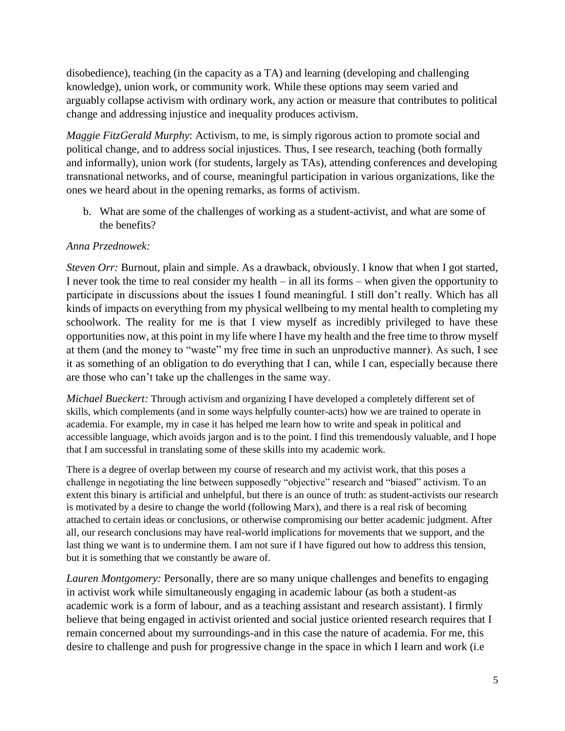disobedience), teaching (in the capacity as a TA) and learning (developing and challenging knowledge), union work, or community work. While these options may seem varied and arguably collapse activism with ordinary work, any action or measure that contributes to political change and addressing injustice and inequality produces activism.

*Maggie FitzGerald Murphy*: Activism, to me, is simply rigorous action to promote social and political change, and to address social injustices. Thus, I see research, teaching (both formally and informally), union work (for students, largely as TAs), attending conferences and developing transnational networks, and of course, meaningful participation in various organizations, like the ones we heard about in the opening remarks, as forms of activism.

b. What are some of the challenges of working as a student-activist, and what are some of the benefits?

## *Anna Przednowek:*

*Steven Orr:* Burnout, plain and simple. As a drawback, obviously. I know that when I got started, I never took the time to real consider my health – in all its forms – when given the opportunity to participate in discussions about the issues I found meaningful. I still don't really. Which has all kinds of impacts on everything from my physical wellbeing to my mental health to completing my schoolwork. The reality for me is that I view myself as incredibly privileged to have these opportunities now, at this point in my life where I have my health and the free time to throw myself at them (and the money to "waste" my free time in such an unproductive manner). As such, I see it as something of an obligation to do everything that I can, while I can, especially because there are those who can't take up the challenges in the same way.

*Michael Bueckert:* Through activism and organizing I have developed a completely different set of skills, which complements (and in some ways helpfully counter-acts) how we are trained to operate in academia. For example, my in case it has helped me learn how to write and speak in political and accessible language, which avoids jargon and is to the point. I find this tremendously valuable, and I hope that I am successful in translating some of these skills into my academic work.

There is a degree of overlap between my course of research and my activist work, that this poses a challenge in negotiating the line between supposedly "objective" research and "biased" activism. To an extent this binary is artificial and unhelpful, but there is an ounce of truth: as student-activists our research is motivated by a desire to change the world (following Marx), and there is a real risk of becoming attached to certain ideas or conclusions, or otherwise compromising our better academic judgment. After all, our research conclusions may have real-world implications for movements that we support, and the last thing we want is to undermine them. I am not sure if I have figured out how to address this tension, but it is something that we constantly be aware of.

*Lauren Montgomery:* Personally, there are so many unique challenges and benefits to engaging in activist work while simultaneously engaging in academic labour (as both a student-as academic work is a form of labour, and as a teaching assistant and research assistant). I firmly believe that being engaged in activist oriented and social justice oriented research requires that I remain concerned about my surroundings-and in this case the nature of academia. For me, this desire to challenge and push for progressive change in the space in which I learn and work (i.e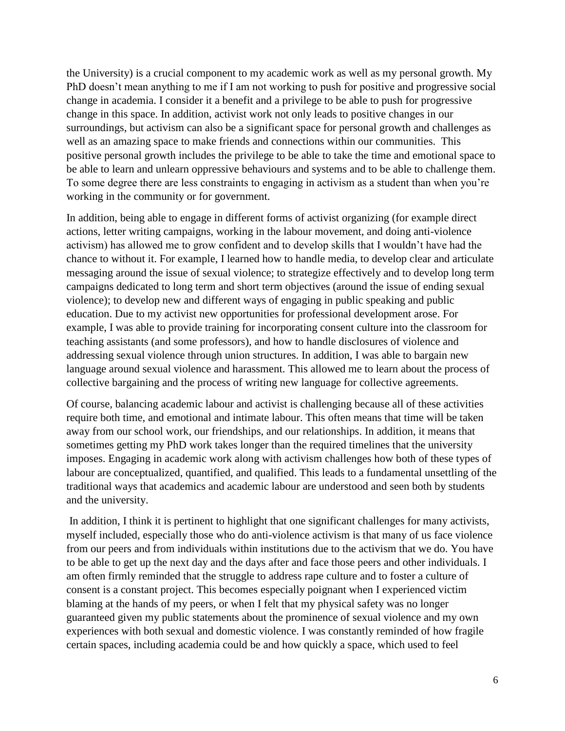the University) is a crucial component to my academic work as well as my personal growth. My PhD doesn't mean anything to me if I am not working to push for positive and progressive social change in academia. I consider it a benefit and a privilege to be able to push for progressive change in this space. In addition, activist work not only leads to positive changes in our surroundings, but activism can also be a significant space for personal growth and challenges as well as an amazing space to make friends and connections within our communities. This positive personal growth includes the privilege to be able to take the time and emotional space to be able to learn and unlearn oppressive behaviours and systems and to be able to challenge them. To some degree there are less constraints to engaging in activism as a student than when you're working in the community or for government.

In addition, being able to engage in different forms of activist organizing (for example direct actions, letter writing campaigns, working in the labour movement, and doing anti-violence activism) has allowed me to grow confident and to develop skills that I wouldn't have had the chance to without it. For example, I learned how to handle media, to develop clear and articulate messaging around the issue of sexual violence; to strategize effectively and to develop long term campaigns dedicated to long term and short term objectives (around the issue of ending sexual violence); to develop new and different ways of engaging in public speaking and public education. Due to my activist new opportunities for professional development arose. For example, I was able to provide training for incorporating consent culture into the classroom for teaching assistants (and some professors), and how to handle disclosures of violence and addressing sexual violence through union structures. In addition, I was able to bargain new language around sexual violence and harassment. This allowed me to learn about the process of collective bargaining and the process of writing new language for collective agreements.

Of course, balancing academic labour and activist is challenging because all of these activities require both time, and emotional and intimate labour. This often means that time will be taken away from our school work, our friendships, and our relationships. In addition, it means that sometimes getting my PhD work takes longer than the required timelines that the university imposes. Engaging in academic work along with activism challenges how both of these types of labour are conceptualized, quantified, and qualified. This leads to a fundamental unsettling of the traditional ways that academics and academic labour are understood and seen both by students and the university.

In addition, I think it is pertinent to highlight that one significant challenges for many activists, myself included, especially those who do anti-violence activism is that many of us face violence from our peers and from individuals within institutions due to the activism that we do. You have to be able to get up the next day and the days after and face those peers and other individuals. I am often firmly reminded that the struggle to address rape culture and to foster a culture of consent is a constant project. This becomes especially poignant when I experienced victim blaming at the hands of my peers, or when I felt that my physical safety was no longer guaranteed given my public statements about the prominence of sexual violence and my own experiences with both sexual and domestic violence. I was constantly reminded of how fragile certain spaces, including academia could be and how quickly a space, which used to feel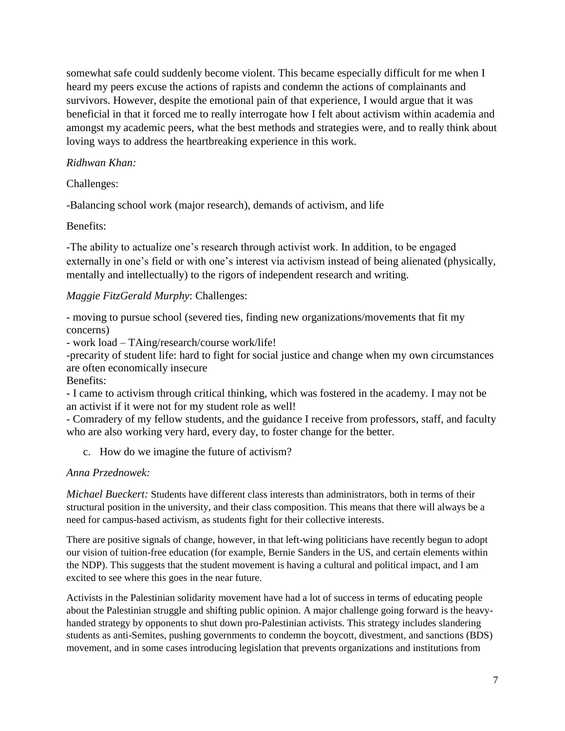somewhat safe could suddenly become violent. This became especially difficult for me when I heard my peers excuse the actions of rapists and condemn the actions of complainants and survivors. However, despite the emotional pain of that experience, I would argue that it was beneficial in that it forced me to really interrogate how I felt about activism within academia and amongst my academic peers, what the best methods and strategies were, and to really think about loving ways to address the heartbreaking experience in this work.

# *Ridhwan Khan:*

Challenges:

-Balancing school work (major research), demands of activism, and life

Benefits:

-The ability to actualize one's research through activist work. In addition, to be engaged externally in one's field or with one's interest via activism instead of being alienated (physically, mentally and intellectually) to the rigors of independent research and writing.

# *Maggie FitzGerald Murphy*: Challenges:

- moving to pursue school (severed ties, finding new organizations/movements that fit my concerns)

- work load – TAing/research/course work/life!

-precarity of student life: hard to fight for social justice and change when my own circumstances are often economically insecure

Benefits:

- I came to activism through critical thinking, which was fostered in the academy. I may not be an activist if it were not for my student role as well!

- Comradery of my fellow students, and the guidance I receive from professors, staff, and faculty who are also working very hard, every day, to foster change for the better.

c. How do we imagine the future of activism?

# *Anna Przednowek:*

*Michael Bueckert:* Students have different class interests than administrators, both in terms of their structural position in the university, and their class composition. This means that there will always be a need for campus-based activism, as students fight for their collective interests.

There are positive signals of change, however, in that left-wing politicians have recently begun to adopt our vision of tuition-free education (for example, Bernie Sanders in the US, and certain elements within the NDP). This suggests that the student movement is having a cultural and political impact, and I am excited to see where this goes in the near future.

Activists in the Palestinian solidarity movement have had a lot of success in terms of educating people about the Palestinian struggle and shifting public opinion. A major challenge going forward is the heavyhanded strategy by opponents to shut down pro-Palestinian activists. This strategy includes slandering students as anti-Semites, pushing governments to condemn the boycott, divestment, and sanctions (BDS) movement, and in some cases introducing legislation that prevents organizations and institutions from